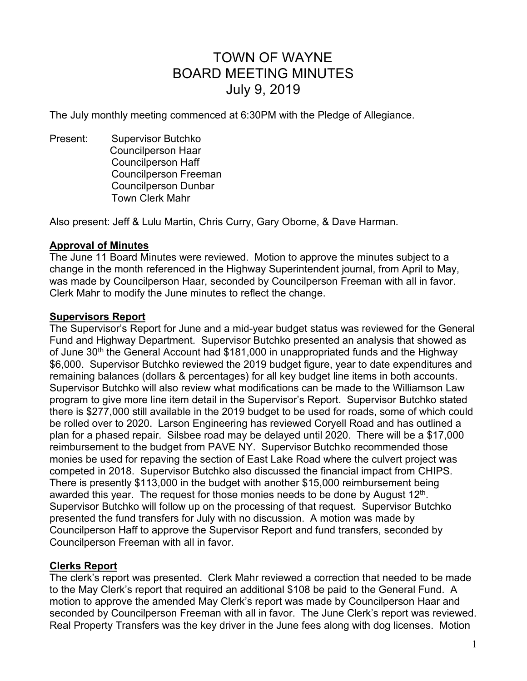# TOWN OF WAYNE BOARD MEETING MINUTES July 9, 2019

The July monthly meeting commenced at 6:30PM with the Pledge of Allegiance.

Present: Supervisor Butchko Councilperson Haar Councilperson Haff Councilperson Freeman Councilperson Dunbar Town Clerk Mahr

Also present: Jeff & Lulu Martin, Chris Curry, Gary Oborne, & Dave Harman.

## **Approval of Minutes**

The June 11 Board Minutes were reviewed. Motion to approve the minutes subject to a change in the month referenced in the Highway Superintendent journal, from April to May, was made by Councilperson Haar, seconded by Councilperson Freeman with all in favor. Clerk Mahr to modify the June minutes to reflect the change.

#### **Supervisors Report**

The Supervisor's Report for June and a mid-year budget status was reviewed for the General Fund and Highway Department. Supervisor Butchko presented an analysis that showed as of June 30<sup>th</sup> the General Account had \$181,000 in unappropriated funds and the Highway \$6,000. Supervisor Butchko reviewed the 2019 budget figure, year to date expenditures and remaining balances (dollars & percentages) for all key budget line items in both accounts. Supervisor Butchko will also review what modifications can be made to the Williamson Law program to give more line item detail in the Supervisor's Report. Supervisor Butchko stated there is \$277,000 still available in the 2019 budget to be used for roads, some of which could be rolled over to 2020. Larson Engineering has reviewed Coryell Road and has outlined a plan for a phased repair. Silsbee road may be delayed until 2020. There will be a \$17,000 reimbursement to the budget from PAVE NY. Supervisor Butchko recommended those monies be used for repaving the section of East Lake Road where the culvert project was competed in 2018. Supervisor Butchko also discussed the financial impact from CHIPS. There is presently \$113,000 in the budget with another \$15,000 reimbursement being awarded this year. The request for those monies needs to be done by August 12<sup>th</sup>. Supervisor Butchko will follow up on the processing of that request. Supervisor Butchko presented the fund transfers for July with no discussion. A motion was made by Councilperson Haff to approve the Supervisor Report and fund transfers, seconded by Councilperson Freeman with all in favor.

## **Clerks Report**

The clerk's report was presented. Clerk Mahr reviewed a correction that needed to be made to the May Clerk's report that required an additional \$108 be paid to the General Fund. A motion to approve the amended May Clerk's report was made by Councilperson Haar and seconded by Councilperson Freeman with all in favor. The June Clerk's report was reviewed. Real Property Transfers was the key driver in the June fees along with dog licenses. Motion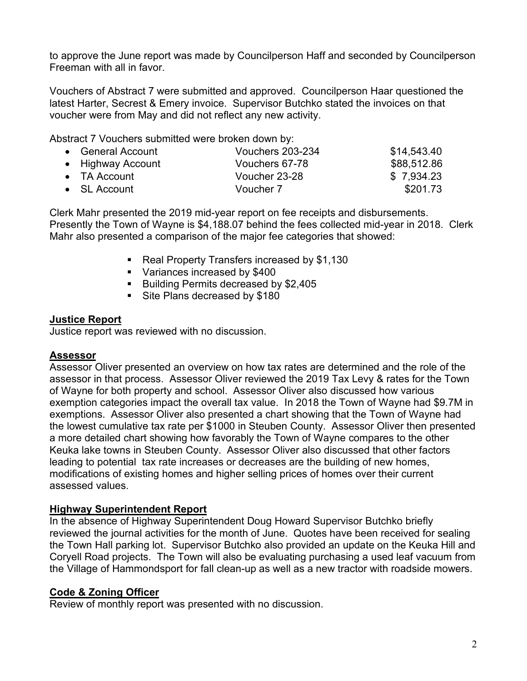to approve the June report was made by Councilperson Haff and seconded by Councilperson Freeman with all in favor.

Vouchers of Abstract 7 were submitted and approved. Councilperson Haar questioned the latest Harter, Secrest & Emery invoice. Supervisor Butchko stated the invoices on that voucher were from May and did not reflect any new activity.

Abstract 7 Vouchers submitted were broken down by:

| • General Account    | Vouchers 203-234 | \$14,543.40 |
|----------------------|------------------|-------------|
| • Highway Account    | Vouchers 67-78   | \$88,512.86 |
| $\bullet$ TA Account | Voucher 23-28    | \$7,934.23  |
| $\bullet$ SL Account | Voucher 7        | \$201.73    |

Clerk Mahr presented the 2019 mid-year report on fee receipts and disbursements. Presently the Town of Wayne is \$4,188.07 behind the fees collected mid-year in 2018. Clerk Mahr also presented a comparison of the major fee categories that showed:

- Real Property Transfers increased by \$1,130
- **Variances increased by \$400**
- Building Permits decreased by \$2,405
- Site Plans decreased by \$180

## **Justice Report**

Justice report was reviewed with no discussion.

## **Assessor**

Assessor Oliver presented an overview on how tax rates are determined and the role of the assessor in that process. Assessor Oliver reviewed the 2019 Tax Levy & rates for the Town of Wayne for both property and school. Assessor Oliver also discussed how various exemption categories impact the overall tax value. In 2018 the Town of Wayne had \$9.7M in exemptions. Assessor Oliver also presented a chart showing that the Town of Wayne had the lowest cumulative tax rate per \$1000 in Steuben County. Assessor Oliver then presented a more detailed chart showing how favorably the Town of Wayne compares to the other Keuka lake towns in Steuben County. Assessor Oliver also discussed that other factors leading to potential tax rate increases or decreases are the building of new homes, modifications of existing homes and higher selling prices of homes over their current assessed values.

# **Highway Superintendent Report**

In the absence of Highway Superintendent Doug Howard Supervisor Butchko briefly reviewed the journal activities for the month of June. Quotes have been received for sealing the Town Hall parking lot. Supervisor Butchko also provided an update on the Keuka Hill and Coryell Road projects. The Town will also be evaluating purchasing a used leaf vacuum from the Village of Hammondsport for fall clean-up as well as a new tractor with roadside mowers.

# **Code & Zoning Officer**

Review of monthly report was presented with no discussion.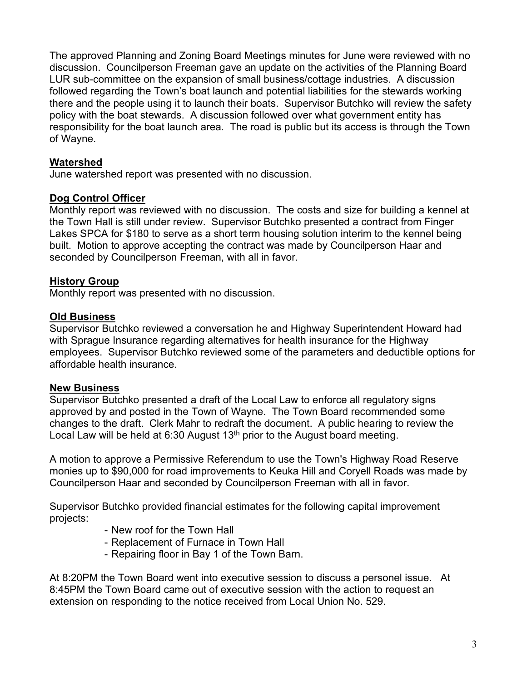The approved Planning and Zoning Board Meetings minutes for June were reviewed with no discussion. Councilperson Freeman gave an update on the activities of the Planning Board LUR sub-committee on the expansion of small business/cottage industries. A discussion followed regarding the Town's boat launch and potential liabilities for the stewards working there and the people using it to launch their boats. Supervisor Butchko will review the safety policy with the boat stewards. A discussion followed over what government entity has responsibility for the boat launch area. The road is public but its access is through the Town of Wayne.

# **Watershed**

June watershed report was presented with no discussion.

# **Dog Control Officer**

Monthly report was reviewed with no discussion. The costs and size for building a kennel at the Town Hall is still under review. Supervisor Butchko presented a contract from Finger Lakes SPCA for \$180 to serve as a short term housing solution interim to the kennel being built. Motion to approve accepting the contract was made by Councilperson Haar and seconded by Councilperson Freeman, with all in favor.

# **History Group**

Monthly report was presented with no discussion.

## **Old Business**

Supervisor Butchko reviewed a conversation he and Highway Superintendent Howard had with Sprague Insurance regarding alternatives for health insurance for the Highway employees. Supervisor Butchko reviewed some of the parameters and deductible options for affordable health insurance.

# **New Business**

Supervisor Butchko presented a draft of the Local Law to enforce all regulatory signs approved by and posted in the Town of Wayne. The Town Board recommended some changes to the draft. Clerk Mahr to redraft the document. A public hearing to review the Local Law will be held at 6:30 August  $13<sup>th</sup>$  prior to the August board meeting.

A motion to approve a Permissive Referendum to use the Town's Highway Road Reserve monies up to \$90,000 for road improvements to Keuka Hill and Coryell Roads was made by Councilperson Haar and seconded by Councilperson Freeman with all in favor.

Supervisor Butchko provided financial estimates for the following capital improvement projects:

- New roof for the Town Hall
- Replacement of Furnace in Town Hall
- Repairing floor in Bay 1 of the Town Barn.

At 8:20PM the Town Board went into executive session to discuss a personel issue. At 8:45PM the Town Board came out of executive session with the action to request an extension on responding to the notice received from Local Union No. 529.